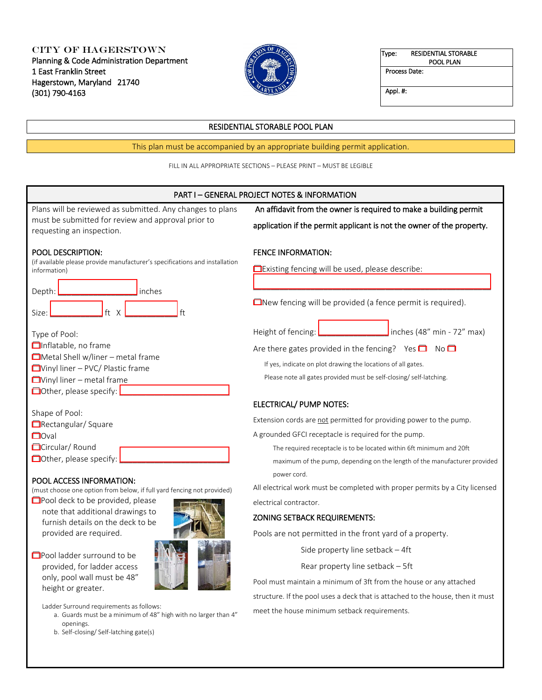City of Hagerstown Planning & Code Administration Department 1 East Franklin Street Hagerstown, Maryland 21740 (301) 790-4163



Type: RESIDENTIAL STORABLE POOL PLAN

Process Date:

Appl. #:

# RESIDENTIAL STORABLE POOL PLAN

This plan must be accompanied by an appropriate building permit application.

FILL IN ALL APPROPRIATE SECTIONS – PLEASE PRINT – MUST BE LEGIBLE

### PART I – GENERAL PROJECT NOTES & INFORMATION

| Plans will be reviewed as submitted. Any changes to plans                                                                                                                                  | An affidavit from the owner is required to make a building permit                                                                                                                                   |
|--------------------------------------------------------------------------------------------------------------------------------------------------------------------------------------------|-----------------------------------------------------------------------------------------------------------------------------------------------------------------------------------------------------|
| must be submitted for review and approval prior to<br>requesting an inspection.                                                                                                            | application if the permit applicant is not the owner of the property.                                                                                                                               |
| <b>POOL DESCRIPTION:</b><br>(if available please provide manufacturer's specifications and installation<br>information)                                                                    | <b>FENCE INFORMATION:</b><br><b>Existing fencing will be used, please describe:</b>                                                                                                                 |
| Depth:<br>inches                                                                                                                                                                           |                                                                                                                                                                                                     |
| ft<br>ft<br>X<br>Size:                                                                                                                                                                     | $\Box$ New fencing will be provided (a fence permit is required).                                                                                                                                   |
| Type of Pool:                                                                                                                                                                              | inches (48" min - 72" max)<br>Height of fencing:                                                                                                                                                    |
| <b>On</b> flatable, no frame<br>$\Box$ Metal Shell w/liner – metal frame<br>$\Box$ Vinyl liner – PVC/ Plastic frame<br>$\Box$ Vinyl liner – metal frame<br><b>□</b> Other, please specify: | Are there gates provided in the fencing? Yes $\Box$ No $\Box$<br>If yes, indicate on plot drawing the locations of all gates.<br>Please note all gates provided must be self-closing/self-latching. |
|                                                                                                                                                                                            | ELECTRICAL/ PUMP NOTES:                                                                                                                                                                             |
| Shape of Pool:<br>Rectangular/Square                                                                                                                                                       | Extension cords are not permitted for providing power to the pump.                                                                                                                                  |
| $\Box$ Oval                                                                                                                                                                                | A grounded GFCI receptacle is required for the pump.                                                                                                                                                |
| Circular/Round<br>Other, please specify:                                                                                                                                                   | The required receptacle is to be located within 6ft minimum and 20ft<br>maximum of the pump, depending on the length of the manufacturer provided                                                   |
| POOL ACCESS INFORMATION:<br>(must choose one ontion from below if full vard fencing not provided)                                                                                          | power cord.<br>All electrical work must be completed with proper permits by a City licensed                                                                                                         |

electrical contractor.

ZONING SETBACK REQUIREMENTS:

(must choose one option from below, if full yard fencing not provided)

**□**Pool deck to be provided, please note that additional drawings to furnish details on the deck to be provided are required.



☐Pool ladder surround to be provided, for ladder access only, pool wall must be 48" height or greater.

Ladder Surround requirements as follows:

- a. Guards must be a minimum of 48" high with no larger than 4" openings.
- b. Self-closing/ Self-latching gate(s)

Pools are not permitted in the front yard of a property.

Side property line setback – 4ft

Rear property line setback – 5ft

Pool must maintain a minimum of 3ft from the house or any attached structure. If the pool uses a deck that is attached to the house, then it must meet the house minimum setback requirements.